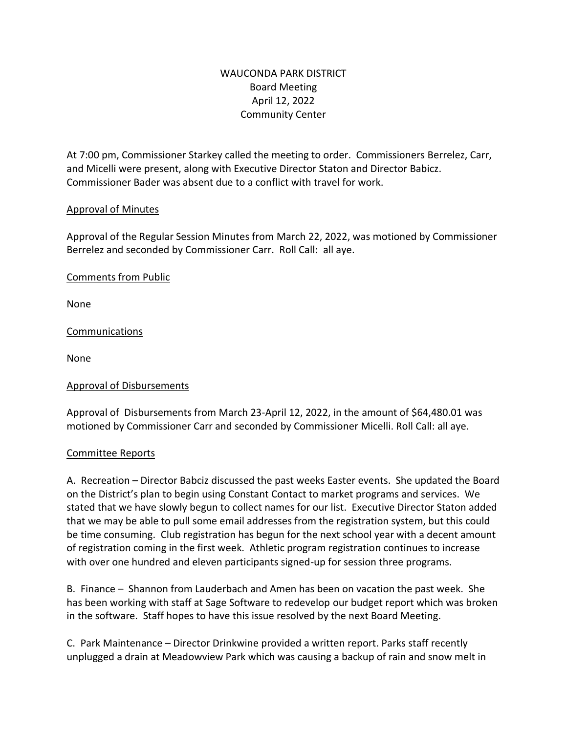# WAUCONDA PARK DISTRICT Board Meeting April 12, 2022 Community Center

At 7:00 pm, Commissioner Starkey called the meeting to order. Commissioners Berrelez, Carr, and Micelli were present, along with Executive Director Staton and Director Babicz. Commissioner Bader was absent due to a conflict with travel for work.

# Approval of Minutes

Approval of the Regular Session Minutes from March 22, 2022, was motioned by Commissioner Berrelez and seconded by Commissioner Carr. Roll Call: all aye.

# Comments from Public

None

Communications

None

### Approval of Disbursements

Approval of Disbursements from March 23-April 12, 2022, in the amount of \$64,480.01 was motioned by Commissioner Carr and seconded by Commissioner Micelli. Roll Call: all aye.

### Committee Reports

A. Recreation – Director Babciz discussed the past weeks Easter events. She updated the Board on the District's plan to begin using Constant Contact to market programs and services. We stated that we have slowly begun to collect names for our list. Executive Director Staton added that we may be able to pull some email addresses from the registration system, but this could be time consuming. Club registration has begun for the next school year with a decent amount of registration coming in the first week. Athletic program registration continues to increase with over one hundred and eleven participants signed-up for session three programs.

B. Finance – Shannon from Lauderbach and Amen has been on vacation the past week. She has been working with staff at Sage Software to redevelop our budget report which was broken in the software. Staff hopes to have this issue resolved by the next Board Meeting.

C. Park Maintenance – Director Drinkwine provided a written report. Parks staff recently unplugged a drain at Meadowview Park which was causing a backup of rain and snow melt in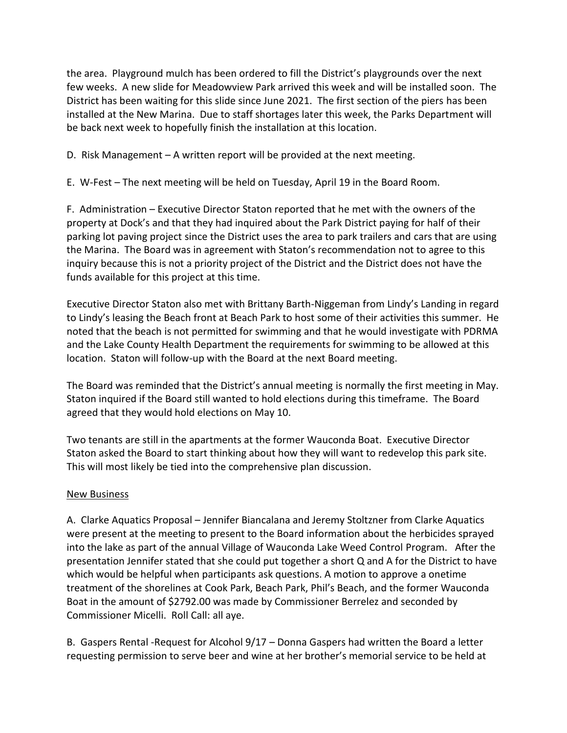the area. Playground mulch has been ordered to fill the District's playgrounds over the next few weeks. A new slide for Meadowview Park arrived this week and will be installed soon. The District has been waiting for this slide since June 2021. The first section of the piers has been installed at the New Marina. Due to staff shortages later this week, the Parks Department will be back next week to hopefully finish the installation at this location.

D. Risk Management – A written report will be provided at the next meeting.

E. W-Fest – The next meeting will be held on Tuesday, April 19 in the Board Room.

F. Administration – Executive Director Staton reported that he met with the owners of the property at Dock's and that they had inquired about the Park District paying for half of their parking lot paving project since the District uses the area to park trailers and cars that are using the Marina. The Board was in agreement with Staton's recommendation not to agree to this inquiry because this is not a priority project of the District and the District does not have the funds available for this project at this time.

Executive Director Staton also met with Brittany Barth-Niggeman from Lindy's Landing in regard to Lindy's leasing the Beach front at Beach Park to host some of their activities this summer. He noted that the beach is not permitted for swimming and that he would investigate with PDRMA and the Lake County Health Department the requirements for swimming to be allowed at this location. Staton will follow-up with the Board at the next Board meeting.

The Board was reminded that the District's annual meeting is normally the first meeting in May. Staton inquired if the Board still wanted to hold elections during this timeframe. The Board agreed that they would hold elections on May 10.

Two tenants are still in the apartments at the former Wauconda Boat. Executive Director Staton asked the Board to start thinking about how they will want to redevelop this park site. This will most likely be tied into the comprehensive plan discussion.

### New Business

A. Clarke Aquatics Proposal – Jennifer Biancalana and Jeremy Stoltzner from Clarke Aquatics were present at the meeting to present to the Board information about the herbicides sprayed into the lake as part of the annual Village of Wauconda Lake Weed Control Program. After the presentation Jennifer stated that she could put together a short Q and A for the District to have which would be helpful when participants ask questions. A motion to approve a onetime treatment of the shorelines at Cook Park, Beach Park, Phil's Beach, and the former Wauconda Boat in the amount of \$2792.00 was made by Commissioner Berrelez and seconded by Commissioner Micelli. Roll Call: all aye.

B. Gaspers Rental -Request for Alcohol 9/17 – Donna Gaspers had written the Board a letter requesting permission to serve beer and wine at her brother's memorial service to be held at